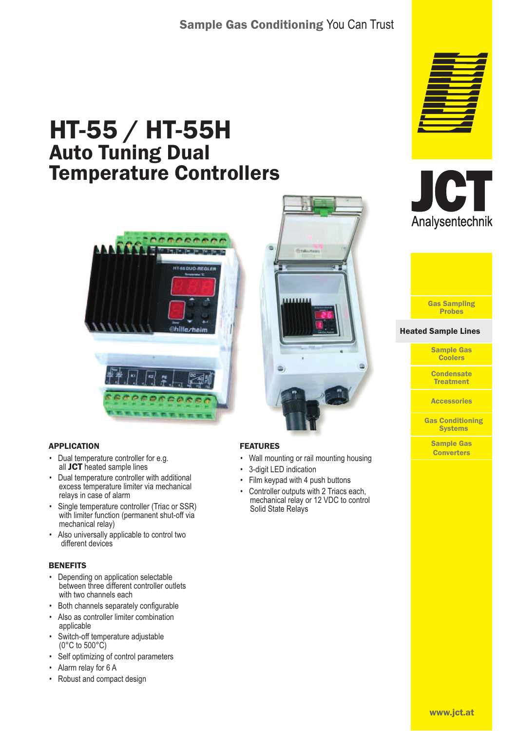## Sample Gas Conditioning You Can Trust

# HT-55 / HT-55H Auto Tuning Dual Temperature Controllers





- Dual temperature controller for e.g. all JCT heated sample lines
- Dual temperature controller with additional excess temperature limiter via mechanical relays in case of alarm
- Single temperature controller (Triac or SSR) with limiter function (permanent shut-off via mechanical relay)
- Also universally applicable to control two different devices

#### **BENEFITS**

- Depending on application selectable between three different controller outlets with two channels each
- Both channels separately configurable
- Also as controller limiter combination applicable
- Switch-off temperature adjustable (0°C to 500°C)
- Self optimizing of control parameters
- Alarm relay for 6 A
- Robust and compact design



- FEATURES
- Wall mounting or rail mounting housing
- 3-digit LED indication
- Film keypad with 4 push buttons
- Controller outputs with 2 Triacs each, mechanical relay or 12 VDC to control Solid State Relays







```
Heated Sample Lines
Heated Sample Lines
```
Sample Gas **Coolers** 

**Condensate Treatment** 

**Accessories** 

Gas Conditioning **Systems** 

> Sample Gas **Converters**